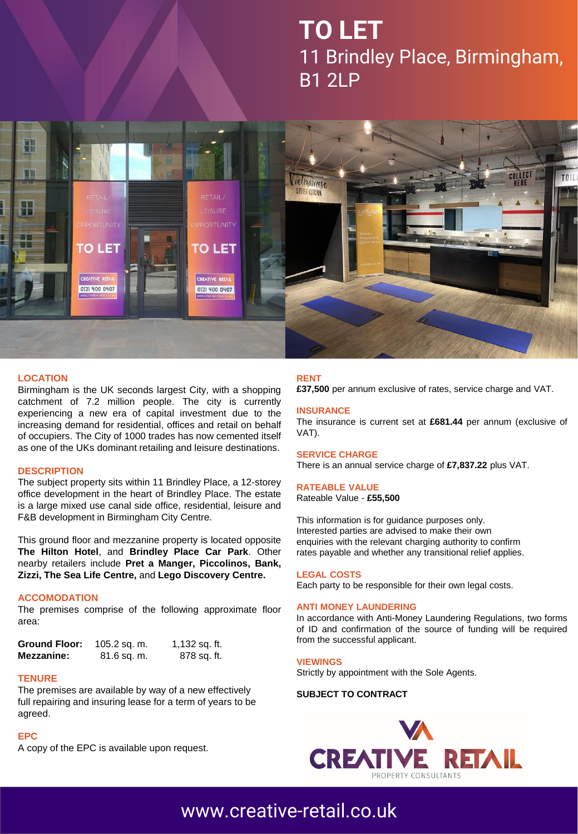# **TO LET** 11 Brindley Place, Birmingham, B1 2LP



#### **LOCATION**

Birmingham is the UK seconds largest City, with a shopping catchment of 7.2 million people. The city is currently experiencing a new era of capital investment due to the increasing demand for residential, offices and retail on behalf of occupiers. The City of 1000 trades has now cemented itself as one of the UKs dominant retailing and leisure destinations.

#### **DESCRIPTION**

The subject property sits within 11 Brindley Place, a 12-storey office development in the heart of Brindley Place. The estate is a large mixed use canal side office, residential, leisure and F&B development in Birmingham City Centre.

This ground floor and mezzanine property is located opposite **The Hilton Hotel**, and **Brindley Place Car Park**. Other nearby retailers include **Pret a Manger, Piccolinos, Bank, Zizzi, The Sea Life Centre,** and **Lego Discovery Centre.**

#### **ACCOMODATION**

The premises comprise of the following approximate floor area:

| <b>Ground Floor:</b> | 105.2 sq. m. | 1,132 sq. ft. |
|----------------------|--------------|---------------|
| Mezzanine:           | 81.6 sq. m.  | 878 sq. ft.   |

#### **TENURE**

The premises are available by way of a new effectively full repairing and insuring lease for a term of years to be agreed.

#### **EPC**

A copy of the EPC is available upon request.

#### **RENT**

**£37,500** per annum exclusive of rates, service charge and VAT.

#### **INSURANCE**

The insurance is current set at **£681.44** per annum (exclusive of VAT).

#### **SERVICE CHARGE**

There is an annual service charge of **£7,837.22** plus VAT.

#### **RATEABLE VALUE**

Rateable Value - **£55,500**

This information is for guidance purposes only. Interested parties are advised to make their own enquiries with the relevant charging authority to confirm rates payable and whether any transitional relief applies.

#### **LEGAL COSTS**

Each party to be responsible for their own legal costs.

#### **ANTI MONEY LAUNDERING**

In accordance with Anti-Money Laundering Regulations, two forms of ID and confirmation of the source of funding will be required from the successful applicant.

#### **VIEWINGS**

Strictly by appointment with the Sole Agents.

#### **SUBJECT TO CONTRACT**



### [www.creative-retail.co.uk](http://www.creative-retail.co.uk/)